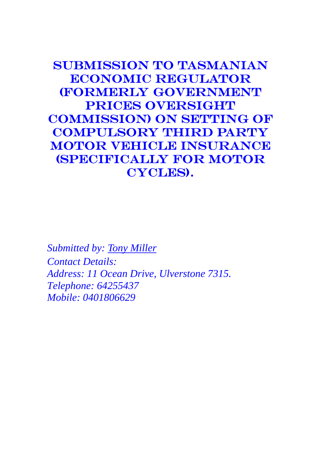Submission to Tasmanian Economic Regulator (Formerly Government PRICES OVERSIGHT Commission) on setting of Compulsory Third Party Motor Vehicle Insurance (specifically for Motor CYCLES).

*Submitted by: Tony Miller Contact Details: Address: 11 Ocean Drive, Ulverstone 7315. Telephone: 64255437 Mobile: 0401806629*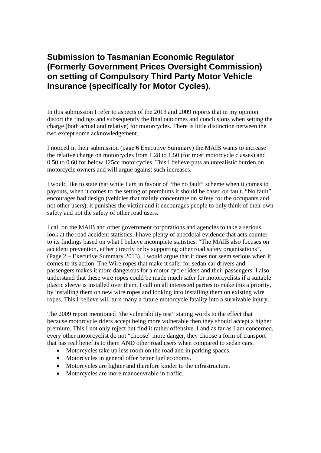# **Submission to Tasmanian Economic Regulator (Formerly Government Prices Oversight Commission) on setting of Compulsory Third Party Motor Vehicle Insurance (specifically for Motor Cycles).**

In this submission I refer to aspects of the 2013 and 2009 reports that in my opinion distort the findings and subsequently the final outcomes and conclusions when setting the charge (both actual and relative) for motorcycles. There is little distinction between the two except some acknowledgement.

I noticed in their submission (page 6 Executive Summary) the MAIB wants to increase the relative charge on motorcycles from 1.28 to 1.50 (for most motorcycle classes) and 0.50 to 0.60 for below 125cc motorcycles. This I believe puts an unrealistic burden on motorcycle owners and will argue against such increases.

I would like to state that while I am in favour of "the no fault" scheme when it comes to payouts, when it comes to the setting of premiums it should be based on fault. "No fault" encourages bad design (vehicles that mainly concentrate on safety for the occupants and not other users), it punishes the victim and it encourages people to only think of their own safety and not the safety of other road users.

I call on the MAIB and other government corporations and agencies to take a serious look at the road accident statistics. I have plenty of anecdotal evidence that acts counter to its findings based on what I believe incomplete statistics. "The MAIB also focuses on accident prevention, either directly or by supporting other road safety organisations". (Page 2 – Executive Summary 2013). I would argue that it does not seem serious when it comes to its action. The Wire ropes that make it safer for sedan car drivers and passengers makes it more dangerous for a motor cycle riders and their passengers. I also understand that these wire ropes could be made much safer for motorcyclists if a suitable plastic sleeve is installed over them. I call on all interested parties to make this a priority, by installing them on new wire ropes and looking into installing them on existing wire ropes. This I believe will turn many a future motorcycle fatality into a survivable injury.

The 2009 report mentioned "the vulnerability test" stating words to the effect that because motorcycle riders accept being more vulnerable then they should accept a higher premium. This I not only reject but find it rather offensive. I and as far as I am concerned, every other motorcyclist do not "choose" more danger, they choose a form of transport that has real benefits to them AND other road users when compared to sedan cars.

- Motorcycles take up less room on the road and in parking spaces.
- Motorcycles in general offer better fuel economy.
- Motorcycles are lighter and therefore kinder to the infrastructure.
- Motorcycles are more manoeuvrable in traffic.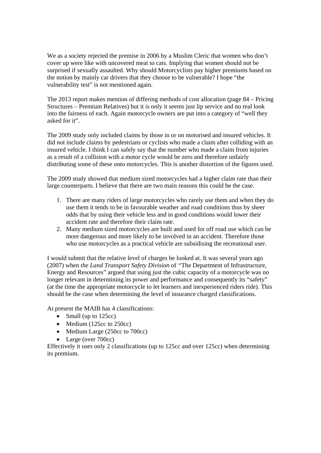We as a society rejected the premise in 2006 by a Muslim Cleric that women who don't cover up were like with uncovered meat to cats. Implying that women should not be surprised if sexually assaulted. Why should Motorcyclists pay higher premiums based on the notion by mainly car drivers that they choose to be vulnerable? I hope "the vulnerability test" is not mentioned again.

The 2013 report makes mention of differing methods of cost allocation (page 84 – Pricing Structures – Premium Relatives) but it is only it seems just lip service and no real look into the fairness of each. Again motorcycle owners are put into a category of "well they asked for it".

The 2009 study only included claims by those in or on motorised and insured vehicles. It did not include claims by pedestrians or cyclists who made a claim after colliding with an insured vehicle. I think I can safely say that the number who made a claim from injuries as a result of a collision with a motor cycle would be zero and therefore unfairly distributing some of these onto motorcycles. This is another distortion of the figures used.

The 2009 study showed that medium sized motorcycles had a higher claim rate than their large counterparts. I believe that there are two main reasons this could be the case.

- 1. There are many riders of large motorcycles who rarely use them and when they do use them it tends to be in favourable weather and road conditions thus by sheer odds that by using their vehicle less and in good conditions would lower their accident rate and therefore their claim rate.
- 2. Many medium sized motorcycles are built and used for off road use which can be more dangerous and more likely to be involved in an accident. Therefore those who use motorcycles as a practical vehicle are subsidising the recreational user.

I would submit that the relative level of charges be looked at. It was several years ago (2007) when *the Land Transport Safety Division* of *"*The Department of Infrastructure, Energy and Resources" argued that using just the cubic capacity of a motorcycle was no longer relevant in determining its power and performance and consequently its "safety" (at the time the appropriate motorcycle to let learners and inexperienced riders ride). This should be the case when determining the level of insurance charged classifications.

At present the MAIB has 4 classifications:

- $\bullet$  Small (up to 125cc)
- $\bullet$  Medium (125cc to 250cc)
- Medium Large (250cc to 700cc)
- Large (over 700cc)

Effectively it uses only 2 classifications (up to 125cc and over 125cc) when determining its premium.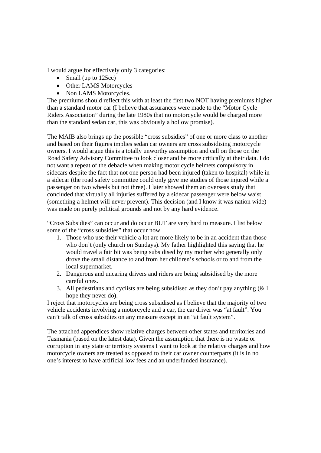I would argue for effectively only 3 categories:

- $\bullet$  Small (up to 125cc)
- Other LAMS Motorcycles
- Non LAMS Motorcycles.

The premiums should reflect this with at least the first two NOT having premiums higher than a standard motor car (I believe that assurances were made to the "Motor Cycle Riders Association" during the late 1980s that no motorcycle would be charged more than the standard sedan car, this was obviously a hollow promise).

The MAIB also brings up the possible "cross subsidies" of one or more class to another and based on their figures implies sedan car owners are cross subsidising motorcycle owners. I would argue this is a totally unworthy assumption and call on those on the Road Safety Advisory Committee to look closer and be more critically at their data. I do not want a repeat of the debacle when making motor cycle helmets compulsory in sidecars despite the fact that not one person had been injured (taken to hospital) while in a sidecar (the road safety committee could only give me studies of those injured while a passenger on two wheels but not three). I later showed them an overseas study that concluded that virtually all injuries suffered by a sidecar passenger were below waist (something a helmet will never prevent). This decision (and I know it was nation wide) was made on purely political grounds and not by any hard evidence.

"Cross Subsidies" can occur and do occur BUT are very hard to measure. I list below some of the "cross subsidies" that occur now.

- 1. Those who use their vehicle a lot are more likely to be in an accident than those who don't (only church on Sundays). My father highlighted this saying that he would travel a fair bit was being subsidised by my mother who generally only drove the small distance to and from her children's schools or to and from the local supermarket.
- 2. Dangerous and uncaring drivers and riders are being subsidised by the more careful ones.
- 3. All pedestrians and cyclists are being subsidised as they don't pay anything (& I hope they never do).

I reject that motorcycles are being cross subsidised as I believe that the majority of two vehicle accidents involving a motorcycle and a car, the car driver was "at fault". You can't talk of cross subsidies on any measure except in an "at fault system".

The attached appendices show relative charges between other states and territories and Tasmania (based on the latest data). Given the assumption that there is no waste or corruption in any state or territory systems I want to look at the relative charges and how motorcycle owners are treated as opposed to their car owner counterparts (it is in no one's interest to have artificial low fees and an underfunded insurance).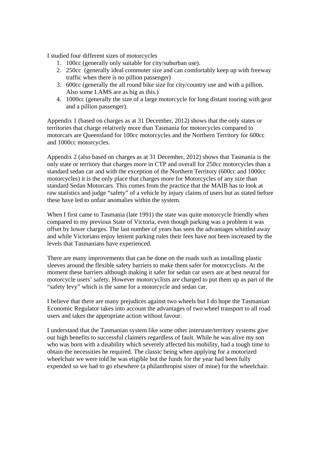I studied four different sizes of motorcycles

- 1. 100cc (generally only suitable for city/suburban use).
- 2. 250cc (generally ideal commuter size and can comfortably keep up with freeway traffic when there is no pillion passenger)
- 3. 600cc (generally the all round bike size for city/country use and with a pillion. Also some LAMS are as big as this.)
- 4. 1000cc (generally the size of a large motorcycle for long distant touring with gear and a pillion passenger).

Appendix 1 (based on charges as at 31 December, 2012) shows that the only states or territories that charge relatively more than Tasmania for motorcycles compared to motorcars are Queensland for 100cc motorcycles and the Northern Territory for 600cc and 1000cc motorcycles.

Appendix 2 (also based on charges as at 31 December, 2012) shows that Tasmania is the only state or territory that charges more in CTP and overall for 250cc motorcycles than a standard sedan car and with the exception of the Northern Territory (600cc and 1000cc motorcycles) it is the only place that charges more for Motorcycles of any size than standard Sedan Motorcars. This comes from the practice that the MAIB has to look at raw statistics and judge "safety" of a vehicle by injury claims of users but as stated before these have led to unfair anomalies within the system.

When I first came to Tasmania (late 1991) the state was quite motorcycle friendly when compared to my previous State of Victoria, even though parking was a problem it was offset by lower charges. The last number of years has seen the advantages whittled away and while Victorians enjoy lenient parking rules their fees have not been increased by the levels that Tasmanians have experienced.

There are many improvements that can be done on the roads such as installing plastic sleeves around the flexible safety barriers to make them safer for motorcyclists. At the moment these barriers although making it safer for sedan car users are at best neutral for motorcycle users' safety. However motorcyclists are charged to put them up as part of the "safety levy" which is the same for a motorcycle and sedan car.

I believe that there are many prejudices against two wheels but I do hope the Tasmanian Economic Regulator takes into account the advantages of two wheel transport to all road users and takes the appropriate action without favour.

I understand that the Tasmanian system like some other interstate/territory systems give out high benefits to successful claimers regardless of fault. While he was alive my son who was born with a disability which severely affected his mobility, had a tough time to obtain the necessities he required. The classic being when applying for a motorized wheelchair we were told he was eligible but the funds for the year had been fully expended so we had to go elsewhere (a philanthropist sister of mine) for the wheelchair.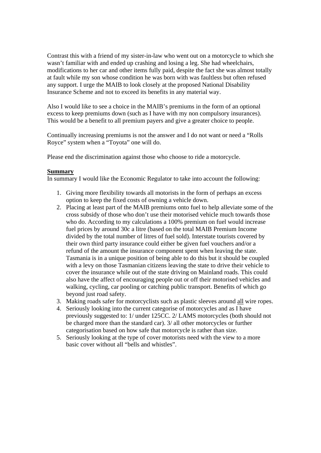Contrast this with a friend of my sister-in-law who went out on a motorcycle to which she wasn't familiar with and ended up crashing and losing a leg. She had wheelchairs, modifications to her car and other items fully paid, despite the fact she was almost totally at fault while my son whose condition he was born with was faultless but often refused any support. I urge the MAIB to look closely at the proposed National Disability Insurance Scheme and not to exceed its benefits in any material way.

Also I would like to see a choice in the MAIB's premiums in the form of an optional excess to keep premiums down (such as I have with my non compulsory insurances). This would be a benefit to all premium payers and give a greater choice to people.

Continually increasing premiums is not the answer and I do not want or need a "Rolls Royce" system when a "Toyota" one will do.

Please end the discrimination against those who choose to ride a motorcycle.

#### **Summary**

In summary I would like the Economic Regulator to take into account the following:

- 1. Giving more flexibility towards all motorists in the form of perhaps an excess option to keep the fixed costs of owning a vehicle down.
- 2. Placing at least part of the MAIB premiums onto fuel to help alleviate some of the cross subsidy of those who don't use their motorised vehicle much towards those who do. According to my calculations a 100% premium on fuel would increase fuel prices by around 30c a litre (based on the total MAIB Premium Income divided by the total number of litres of fuel sold). Interstate tourists covered by their own third party insurance could either be given fuel vouchers and/or a refund of the amount the insurance component spent when leaving the state. Tasmania is in a unique position of being able to do this but it should be coupled with a levy on those Tasmanian citizens leaving the state to drive their vehicle to cover the insurance while out of the state driving on Mainland roads. This could also have the affect of encouraging people out or off their motorised vehicles and walking, cycling, car pooling or catching public transport. Benefits of which go beyond just road safety.
- 3. Making roads safer for motorcyclists such as plastic sleeves around all wire ropes.
- 4. Seriously looking into the current categorise of motorcycles and as I have previously suggested to: 1/ under 125CC. 2/ LAMS motorcycles (both should not be charged more than the standard car). 3/ all other motorcycles or further categorisation based on how safe that motorcycle is rather than size.
- 5. Seriously looking at the type of cover motorists need with the view to a more basic cover without all "bells and whistles".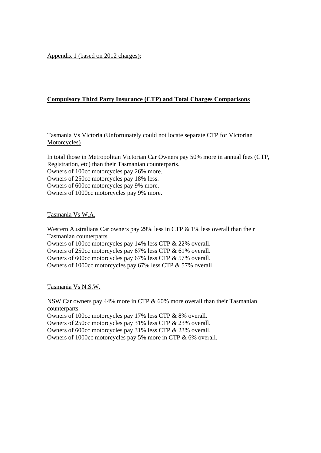Appendix 1 (based on 2012 charges):

### **Compulsory Third Party Insurance (CTP) and Total Charges Comparisons**

Tasmania Vs Victoria (Unfortunately could not locate separate CTP for Victorian Motorcycles)

In total those in Metropolitan Victorian Car Owners pay 50% more in annual fees (CTP, Registration, etc) than their Tasmanian counterparts. Owners of 100cc motorcycles pay 26% more. Owners of 250cc motorcycles pay 18% less. Owners of 600cc motorcycles pay 9% more. Owners of 1000cc motorcycles pay 9% more.

Tasmania Vs W.A.

Western Australians Car owners pay 29% less in CTP & 1% less overall than their Tasmanian counterparts.

Owners of 100cc motorcycles pay 14% less CTP & 22% overall. Owners of 250cc motorcycles pay 67% less CTP & 61% overall. Owners of 600cc motorcycles pay 67% less CTP & 57% overall. Owners of 1000cc motorcycles pay 67% less CTP & 57% overall.

Tasmania Vs N.S.W.

NSW Car owners pay 44% more in CTP & 60% more overall than their Tasmanian counterparts.

Owners of 100cc motorcycles pay 17% less CTP & 8% overall.

Owners of 250cc motorcycles pay 31% less CTP & 23% overall.

Owners of 600cc motorcycles pay 31% less CTP & 23% overall.

Owners of 1000cc motorcycles pay 5% more in CTP & 6% overall.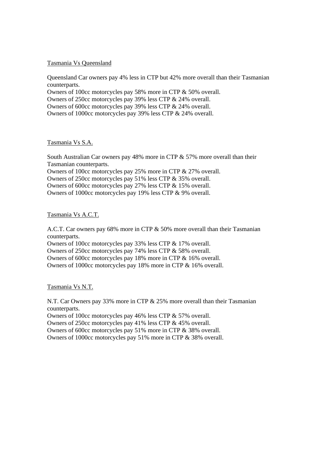#### Tasmania Vs Queensland

Queensland Car owners pay 4% less in CTP but 42% more overall than their Tasmanian counterparts.

Owners of 100cc motorcycles pay 58% more in CTP & 50% overall. Owners of 250cc motorcycles pay 39% less CTP & 24% overall.

Owners of 600cc motorcycles pay 39% less CTP & 24% overall.

Owners of 1000cc motorcycles pay 39% less CTP & 24% overall.

#### Tasmania Vs S.A.

South Australian Car owners pay 48% more in CTP & 57% more overall than their Tasmanian counterparts.

Owners of 100cc motorcycles pay 25% more in CTP & 27% overall.

Owners of 250cc motorcycles pay 51% less CTP & 35% overall.

Owners of 600cc motorcycles pay 27% less CTP & 15% overall.

Owners of 1000cc motorcycles pay 19% less CTP & 9% overall.

Tasmania Vs A.C.T.

A.C.T. Car owners pay 68% more in CTP & 50% more overall than their Tasmanian counterparts.

Owners of 100cc motorcycles pay 33% less CTP & 17% overall.

Owners of 250cc motorcycles pay 74% less CTP & 58% overall.

Owners of 600cc motorcycles pay 18% more in CTP & 16% overall.

Owners of 1000cc motorcycles pay 18% more in CTP & 16% overall.

Tasmania Vs N.T.

N.T. Car Owners pay 33% more in CTP & 25% more overall than their Tasmanian counterparts.

Owners of 100cc motorcycles pay 46% less CTP & 57% overall.

Owners of 250cc motorcycles pay 41% less CTP & 45% overall.

Owners of 600cc motorcycles pay 51% more in CTP & 38% overall.

Owners of 1000cc motorcycles pay 51% more in CTP & 38% overall.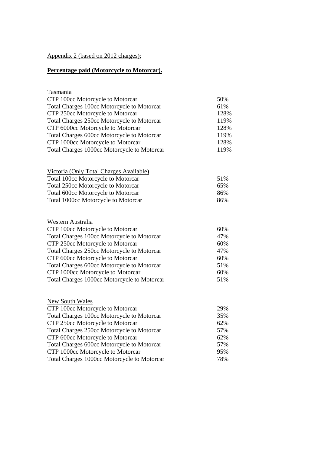### Appendix 2 (based on 2012 charges):

# **Percentage paid (Motorcycle to Motorcar).**

Tasmania

| CTP 100cc Motorcycle to Motorcar            | 50%  |
|---------------------------------------------|------|
| Total Charges 100cc Motorcycle to Motorcar  | 61%  |
| CTP 250cc Motorcycle to Motorcar            | 128% |
| Total Charges 250cc Motorcycle to Motorcar  | 119% |
| CTP 6000cc Motorcycle to Motorcar           | 128% |
| Total Charges 600cc Motorcycle to Motorcar  | 119% |
| CTP 1000cc Motorcycle to Motorcar           | 128% |
| Total Charges 1000cc Motorcycle to Motorcar | 119% |
|                                             |      |

| 51% |
|-----|
| 65% |
| 86% |
| 86% |
|     |

|  | Western Australia |  |
|--|-------------------|--|
|--|-------------------|--|

| 60% |
|-----|
| 47% |
| 60% |
| 47% |
| 60% |
| 51% |
| 60% |
| 51% |
|     |

| New South Wales                             |     |
|---------------------------------------------|-----|
| CTP 100cc Motorcycle to Motorcar            | 29% |
| Total Charges 100cc Motorcycle to Motorcar  | 35% |
| CTP 250cc Motorcycle to Motorcar            | 62% |
| Total Charges 250cc Motorcycle to Motorcar  | 57% |
| CTP 600cc Motorcycle to Motorcar            | 62% |
| Total Charges 600cc Motorcycle to Motorcar  | 57% |
| CTP 1000cc Motorcycle to Motorcar           | 95% |
| Total Charges 1000cc Motorcycle to Motorcar | 78% |